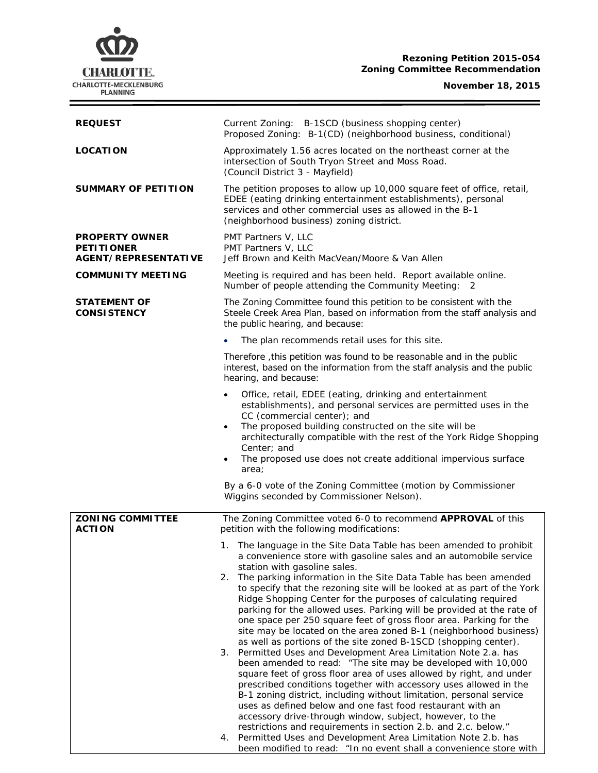# **CHARLOTTE.** CHARLOTTE-MECKLENBURG<br>PLANNING

# **Rezoning Petition 2015-054 Zoning Committee Recommendation**

### **November 18, 2015**

 $\equiv$ 

| <b>REQUEST</b>                                                            | Current Zoning: B-1SCD (business shopping center)                                                                                                                                                                                                                                                                                                                                                                                                                                                                                                                                                                                                                                                                                                                                                                                                                                                                                                                                                                                                                                                                                 |
|---------------------------------------------------------------------------|-----------------------------------------------------------------------------------------------------------------------------------------------------------------------------------------------------------------------------------------------------------------------------------------------------------------------------------------------------------------------------------------------------------------------------------------------------------------------------------------------------------------------------------------------------------------------------------------------------------------------------------------------------------------------------------------------------------------------------------------------------------------------------------------------------------------------------------------------------------------------------------------------------------------------------------------------------------------------------------------------------------------------------------------------------------------------------------------------------------------------------------|
|                                                                           | Proposed Zoning: B-1(CD) (neighborhood business, conditional)                                                                                                                                                                                                                                                                                                                                                                                                                                                                                                                                                                                                                                                                                                                                                                                                                                                                                                                                                                                                                                                                     |
| <b>LOCATION</b>                                                           | Approximately 1.56 acres located on the northeast corner at the<br>intersection of South Tryon Street and Moss Road.<br>(Council District 3 - Mayfield)                                                                                                                                                                                                                                                                                                                                                                                                                                                                                                                                                                                                                                                                                                                                                                                                                                                                                                                                                                           |
| <b>SUMMARY OF PETITION</b>                                                | The petition proposes to allow up 10,000 square feet of office, retail,<br>EDEE (eating drinking entertainment establishments), personal<br>services and other commercial uses as allowed in the B-1<br>(neighborhood business) zoning district.                                                                                                                                                                                                                                                                                                                                                                                                                                                                                                                                                                                                                                                                                                                                                                                                                                                                                  |
| <b>PROPERTY OWNER</b><br><b>PETITIONER</b><br><b>AGENT/REPRESENTATIVE</b> | PMT Partners V, LLC<br>PMT Partners V, LLC<br>Jeff Brown and Keith MacVean/Moore & Van Allen                                                                                                                                                                                                                                                                                                                                                                                                                                                                                                                                                                                                                                                                                                                                                                                                                                                                                                                                                                                                                                      |
| <b>COMMUNITY MEETING</b>                                                  | Meeting is required and has been held. Report available online.<br>Number of people attending the Community Meeting: 2                                                                                                                                                                                                                                                                                                                                                                                                                                                                                                                                                                                                                                                                                                                                                                                                                                                                                                                                                                                                            |
| <b>STATEMENT OF</b><br><b>CONSISTENCY</b>                                 | The Zoning Committee found this petition to be consistent with the<br>Steele Creek Area Plan, based on information from the staff analysis and<br>the public hearing, and because:                                                                                                                                                                                                                                                                                                                                                                                                                                                                                                                                                                                                                                                                                                                                                                                                                                                                                                                                                |
|                                                                           | The plan recommends retail uses for this site.                                                                                                                                                                                                                                                                                                                                                                                                                                                                                                                                                                                                                                                                                                                                                                                                                                                                                                                                                                                                                                                                                    |
|                                                                           | Therefore, this petition was found to be reasonable and in the public<br>interest, based on the information from the staff analysis and the public<br>hearing, and because:                                                                                                                                                                                                                                                                                                                                                                                                                                                                                                                                                                                                                                                                                                                                                                                                                                                                                                                                                       |
|                                                                           | Office, retail, EDEE (eating, drinking and entertainment<br>establishments), and personal services are permitted uses in the<br>CC (commercial center); and<br>The proposed building constructed on the site will be<br>$\bullet$<br>architecturally compatible with the rest of the York Ridge Shopping<br>Center; and<br>The proposed use does not create additional impervious surface<br>area;<br>By a 6-0 vote of the Zoning Committee (motion by Commissioner<br>Wiggins seconded by Commissioner Nelson).                                                                                                                                                                                                                                                                                                                                                                                                                                                                                                                                                                                                                  |
|                                                                           |                                                                                                                                                                                                                                                                                                                                                                                                                                                                                                                                                                                                                                                                                                                                                                                                                                                                                                                                                                                                                                                                                                                                   |
| <b>ZONING COMMITTEE</b><br><b>ACTION</b>                                  | The Zoning Committee voted 6-0 to recommend APPROVAL of this<br>petition with the following modifications:                                                                                                                                                                                                                                                                                                                                                                                                                                                                                                                                                                                                                                                                                                                                                                                                                                                                                                                                                                                                                        |
|                                                                           | 1. The language in the Site Data Table has been amended to prohibit<br>a convenience store with gasoline sales and an automobile service<br>station with gasoline sales.                                                                                                                                                                                                                                                                                                                                                                                                                                                                                                                                                                                                                                                                                                                                                                                                                                                                                                                                                          |
|                                                                           | The parking information in the Site Data Table has been amended<br>2.<br>to specify that the rezoning site will be looked at as part of the York<br>Ridge Shopping Center for the purposes of calculating required<br>parking for the allowed uses. Parking will be provided at the rate of<br>one space per 250 square feet of gross floor area. Parking for the<br>site may be located on the area zoned B-1 (neighborhood business)<br>as well as portions of the site zoned B-1SCD (shopping center).<br>3. Permitted Uses and Development Area Limitation Note 2.a. has<br>been amended to read: "The site may be developed with 10,000<br>square feet of gross floor area of uses allowed by right, and under<br>prescribed conditions together with accessory uses allowed in the<br>B-1 zoning district, including without limitation, personal service<br>uses as defined below and one fast food restaurant with an<br>accessory drive-through window, subject, however, to the<br>restrictions and requirements in section 2.b. and 2.c. below."<br>Permitted Uses and Development Area Limitation Note 2.b. has<br>4. |
|                                                                           | been modified to read: "In no event shall a convenience store with                                                                                                                                                                                                                                                                                                                                                                                                                                                                                                                                                                                                                                                                                                                                                                                                                                                                                                                                                                                                                                                                |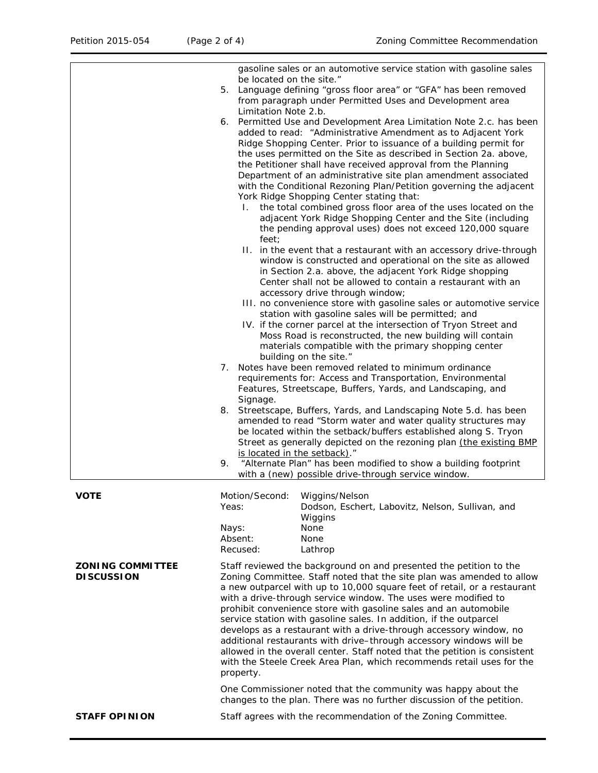|                                              | gasoline sales or an automotive service station with gasoline sales<br>be located on the site."                                                                                                                                                                                                                                                                                                                                                                                                                                                                                                                                                                                                                                                                                                                                                                                                                                                                                                                                                                                                                                                                                                                                                                                                                                                                                                   |
|----------------------------------------------|---------------------------------------------------------------------------------------------------------------------------------------------------------------------------------------------------------------------------------------------------------------------------------------------------------------------------------------------------------------------------------------------------------------------------------------------------------------------------------------------------------------------------------------------------------------------------------------------------------------------------------------------------------------------------------------------------------------------------------------------------------------------------------------------------------------------------------------------------------------------------------------------------------------------------------------------------------------------------------------------------------------------------------------------------------------------------------------------------------------------------------------------------------------------------------------------------------------------------------------------------------------------------------------------------------------------------------------------------------------------------------------------------|
|                                              | Language defining "gross floor area" or "GFA" has been removed<br>5.<br>from paragraph under Permitted Uses and Development area                                                                                                                                                                                                                                                                                                                                                                                                                                                                                                                                                                                                                                                                                                                                                                                                                                                                                                                                                                                                                                                                                                                                                                                                                                                                  |
|                                              | Limitation Note 2.b.<br>Permitted Use and Development Area Limitation Note 2.c. has been<br>6.<br>added to read: "Administrative Amendment as to Adjacent York<br>Ridge Shopping Center. Prior to issuance of a building permit for<br>the uses permitted on the Site as described in Section 2a. above,<br>the Petitioner shall have received approval from the Planning<br>Department of an administrative site plan amendment associated<br>with the Conditional Rezoning Plan/Petition governing the adjacent<br>York Ridge Shopping Center stating that:<br>I. the total combined gross floor area of the uses located on the<br>adjacent York Ridge Shopping Center and the Site (including<br>the pending approval uses) does not exceed 120,000 square<br>feet;<br>II. in the event that a restaurant with an accessory drive-through<br>window is constructed and operational on the site as allowed<br>in Section 2.a. above, the adjacent York Ridge shopping<br>Center shall not be allowed to contain a restaurant with an<br>accessory drive through window;<br>III. no convenience store with gasoline sales or automotive service<br>station with gasoline sales will be permitted; and<br>IV. if the corner parcel at the intersection of Tryon Street and<br>Moss Road is reconstructed, the new building will contain<br>materials compatible with the primary shopping center |
|                                              | building on the site."<br>7. Notes have been removed related to minimum ordinance<br>requirements for: Access and Transportation, Environmental<br>Features, Streetscape, Buffers, Yards, and Landscaping, and                                                                                                                                                                                                                                                                                                                                                                                                                                                                                                                                                                                                                                                                                                                                                                                                                                                                                                                                                                                                                                                                                                                                                                                    |
|                                              | Signage.<br>Streetscape, Buffers, Yards, and Landscaping Note 5.d. has been<br>8.<br>amended to read "Storm water and water quality structures may<br>be located within the setback/buffers established along S. Tryon<br>Street as generally depicted on the rezoning plan (the existing BMP                                                                                                                                                                                                                                                                                                                                                                                                                                                                                                                                                                                                                                                                                                                                                                                                                                                                                                                                                                                                                                                                                                     |
|                                              | is located in the setback)."<br>"Alternate Plan" has been modified to show a building footprint<br>9.<br>with a (new) possible drive-through service window.                                                                                                                                                                                                                                                                                                                                                                                                                                                                                                                                                                                                                                                                                                                                                                                                                                                                                                                                                                                                                                                                                                                                                                                                                                      |
| <b>VOTE</b>                                  | Motion/Second:<br>Wiggins/Nelson<br>Yeas:<br>Dodson, Eschert, Labovitz, Nelson, Sullivan, and<br>Wiggins<br>None<br>Nays:<br>Absent:<br>None<br>Recused:                                                                                                                                                                                                                                                                                                                                                                                                                                                                                                                                                                                                                                                                                                                                                                                                                                                                                                                                                                                                                                                                                                                                                                                                                                          |
| <b>ZONING COMMITTEE</b><br><b>DISCUSSION</b> | Lathrop<br>Staff reviewed the background on and presented the petition to the<br>Zoning Committee. Staff noted that the site plan was amended to allow<br>a new outparcel with up to 10,000 square feet of retail, or a restaurant<br>with a drive-through service window. The uses were modified to<br>prohibit convenience store with gasoline sales and an automobile<br>service station with gasoline sales. In addition, if the outparcel<br>develops as a restaurant with a drive-through accessory window, no<br>additional restaurants with drive-through accessory windows will be<br>allowed in the overall center. Staff noted that the petition is consistent<br>with the Steele Creek Area Plan, which recommends retail uses for the<br>property.                                                                                                                                                                                                                                                                                                                                                                                                                                                                                                                                                                                                                                   |
|                                              | One Commissioner noted that the community was happy about the<br>changes to the plan. There was no further discussion of the petition.                                                                                                                                                                                                                                                                                                                                                                                                                                                                                                                                                                                                                                                                                                                                                                                                                                                                                                                                                                                                                                                                                                                                                                                                                                                            |
| <b>STAFF OPINION</b>                         | Staff agrees with the recommendation of the Zoning Committee.                                                                                                                                                                                                                                                                                                                                                                                                                                                                                                                                                                                                                                                                                                                                                                                                                                                                                                                                                                                                                                                                                                                                                                                                                                                                                                                                     |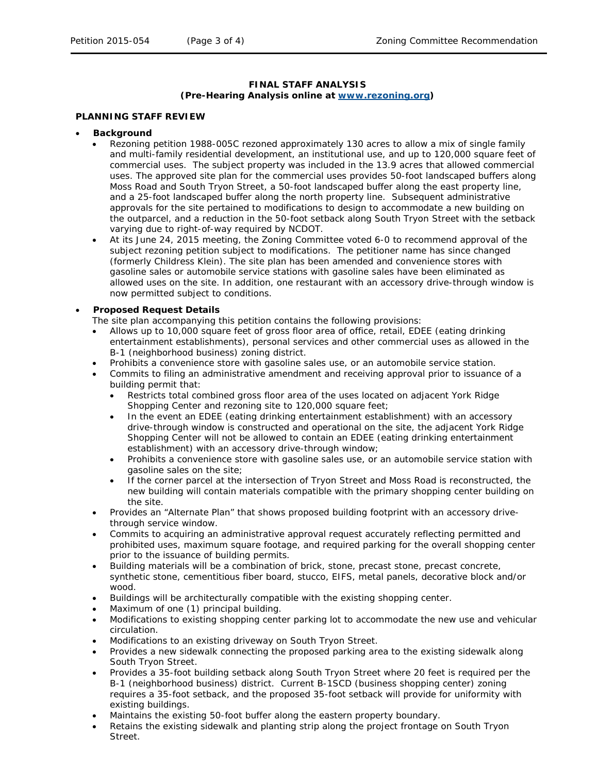#### **FINAL STAFF ANALYSIS (Pre-Hearing Analysis online at [www.rezoning.org\)](http://www.rezoning.org/)**

#### **PLANNING STAFF REVIEW**

# • **Background**

- Rezoning petition 1988-005C rezoned approximately 130 acres to allow a mix of single family and multi-family residential development, an institutional use, and up to 120,000 square feet of commercial uses. The subject property was included in the 13.9 acres that allowed commercial uses. The approved site plan for the commercial uses provides 50-foot landscaped buffers along Moss Road and South Tryon Street, a 50-foot landscaped buffer along the east property line, and a 25-foot landscaped buffer along the north property line. Subsequent administrative approvals for the site pertained to modifications to design to accommodate a new building on the outparcel, and a reduction in the 50-foot setback along South Tryon Street with the setback varying due to right-of-way required by NCDOT.
- At its June 24, 2015 meeting, the Zoning Committee voted 6-0 to recommend approval of the subject rezoning petition subject to modifications. The petitioner name has since changed (formerly Childress Klein). The site plan has been amended and convenience stores with gasoline sales or automobile service stations with gasoline sales have been eliminated as allowed uses on the site. In addition, one restaurant with an accessory drive-through window is now permitted subject to conditions.

# • **Proposed Request Details**

- The site plan accompanying this petition contains the following provisions:
- Allows up to 10,000 square feet of gross floor area of office, retail, EDEE (eating drinking entertainment establishments), personal services and other commercial uses as allowed in the B-1 (neighborhood business) zoning district.
- Prohibits a convenience store with gasoline sales use, or an automobile service station.
- Commits to filing an administrative amendment and receiving approval prior to issuance of a building permit that:
	- Restricts total combined gross floor area of the uses located on adjacent York Ridge Shopping Center and rezoning site to 120,000 square feet;
	- In the event an EDEE (eating drinking entertainment establishment) with an accessory drive-through window is constructed and operational on the site, the adjacent York Ridge Shopping Center will not be allowed to contain an EDEE (eating drinking entertainment establishment) with an accessory drive-through window;
	- Prohibits a convenience store with gasoline sales use, or an automobile service station with gasoline sales on the site;
	- If the corner parcel at the intersection of Tryon Street and Moss Road is reconstructed, the new building will contain materials compatible with the primary shopping center building on the site.
- Provides an "Alternate Plan" that shows proposed building footprint with an accessory drivethrough service window.
- Commits to acquiring an administrative approval request accurately reflecting permitted and prohibited uses, maximum square footage, and required parking for the overall shopping center prior to the issuance of building permits.
- Building materials will be a combination of brick, stone, precast stone, precast concrete, synthetic stone, cementitious fiber board, stucco, EIFS, metal panels, decorative block and/or wood.
- Buildings will be architecturally compatible with the existing shopping center.
- Maximum of one (1) principal building.
- Modifications to existing shopping center parking lot to accommodate the new use and vehicular circulation.
- Modifications to an existing driveway on South Tryon Street.
- Provides a new sidewalk connecting the proposed parking area to the existing sidewalk along South Tryon Street.
- Provides a 35-foot building setback along South Tryon Street where 20 feet is required per the B-1 (neighborhood business) district. Current B-1SCD (business shopping center) zoning requires a 35-foot setback, and the proposed 35-foot setback will provide for uniformity with existing buildings.
- Maintains the existing 50-foot buffer along the eastern property boundary.
- Retains the existing sidewalk and planting strip along the project frontage on South Tryon Street.